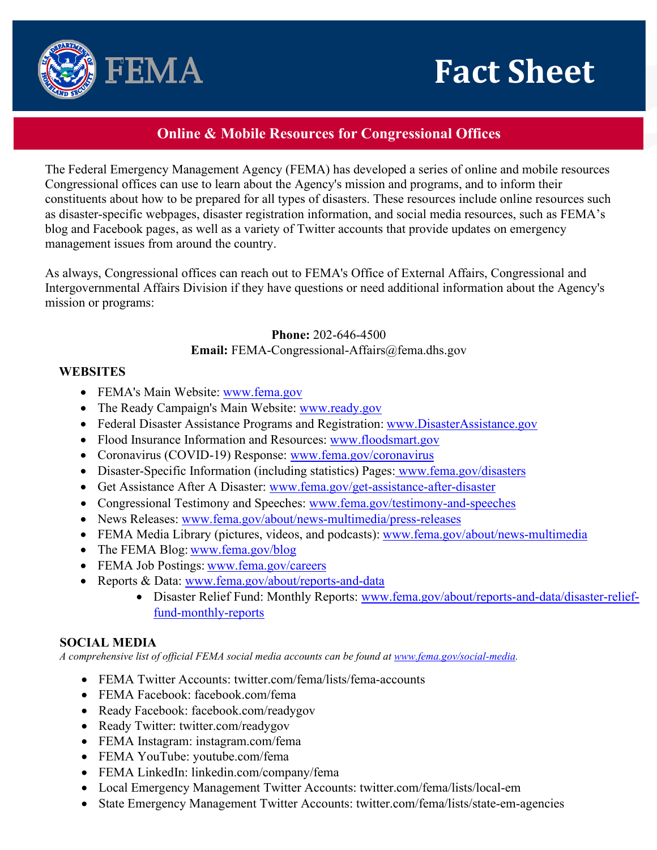



The Federal Emergency Management Agency (FEMA) has developed a series of online and mobile resources Congressional offices can use to learn about the Agency's mission and programs, and to inform their constituents about how to be prepared for all types of disasters. These resources include online resources such as disaster-specific webpages, disaster registration information, and social media resources, such as FEMA's blog and Facebook pages, as well as a variety of Twitter accounts that provide updates on emergency management issues from around the country.

As always, Congressional offices can reach out to FEMA's Office of External Affairs, Congressional and Intergovernmental Affairs Division if they have questions or need additional information about the Agency's mission or programs:

**Phone:** 202-646-4500

## **Email:** [FEMA-Congressional-Affairs@fema.dhs.gov](mailto:FEMA-Congressional-Affairs@fema.dhs.gov)

## **WEBSITES**

• FEMA's Main Website: [www.fema.gov](http://www.fema.gov/)

FEMA

- The Ready Campaign's Main Website: [www.ready.gov](http://www.ready.gov/)
- Federal Disaster Assistance Programs and Registration: [www.DisasterAssistance.gov](http://www.disasterassistance.gov/)
- Flood Insurance Information and Resources: [www.floodsmart.gov](http://www.floodsmart.gov/)
- Coronavirus (COVID-19) Response: [www.fema.gov/coronavirus](http://www.fema.gov/coronavirus)
- Disaster-Specific Information (including statistics) Pages: www.fema.gov/disasters
- Get Assistance After A Disaster: [www.fema.gov/get-assistance-after-disaster](http://www.fema.gov/get-assistance-after-disaster)
- Congressional Testimony and Speeches: [www.fema.gov/testimony-and-speeches](http://www.fema.gov/testimony-and-speeches)
- News Releases: [www.fema.gov/about/news-multimedia/press-releases](http://www.fema.gov/about/news-multimedia/press-releases)
- FEMA Media Library (pictures, videos, and podcasts): [www.fema.gov/about/news-multimedia](http://www.fema.gov/about/news-multimedia)
- The FEMA Blog: [www.fema.gov/blog](http://www.fema.gov/blog)
- FEMA Job Postings: [www.fema.gov/careers](http://www.fema.gov/careers)
- Reports & Data: [www.fema.gov/about/reports-and-data](http://www.fema.gov/about/reports-and-data)
	- Disaster Relief Fund: Monthly Reports: [www.fema.gov/about/reports-and-data/disaster-relief](http://www.fema.gov/about/reports-and-data/disaster-relief-fund-monthly-reports)[fund-monthly-reports](http://www.fema.gov/about/reports-and-data/disaster-relief-fund-monthly-reports)

## **SOCIAL MEDIA**

*A comprehensive list of official FEMA social media accounts can be found at [www.fema.gov/social-media.](http://www.fema.gov/social-media)* 

- FEMA Twitter Accounts: twitter.com/fema/lists/fema-accounts
- FEMA Facebook: facebook.com/fema
- Ready Facebook: facebook.com/readygov
- Ready Twitter: twitter.com/readygov
- FEMA Instagram: instagram.com/fema
- FEMA YouTube: youtube.com/fema
- FEMA LinkedIn: linkedin.com/company/fema
- Local Emergency Management Twitter Accounts: twitter.com/fema/lists/local-em
- State Emergency Management Twitter Accounts: twitter.com/fema/lists/state-em-agencies